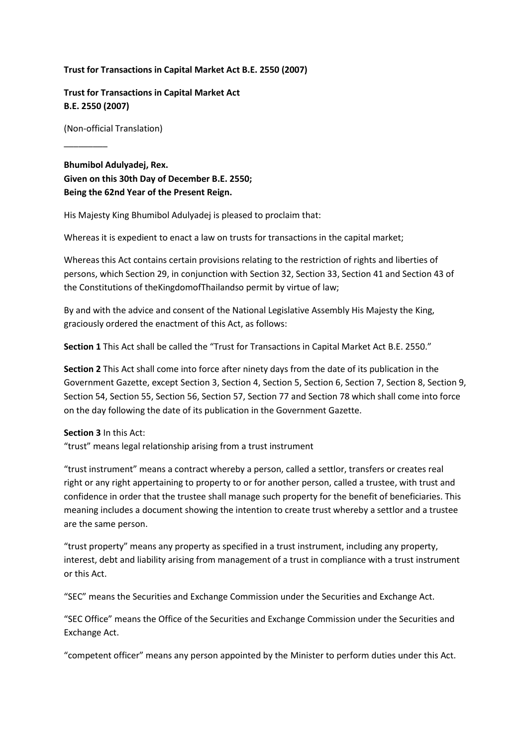#### **Trust for Transactions in Capital Market Act B.E. 2550 (2007)**

**Trust for Transactions in Capital Market Act B.E. 2550 (2007)**

(Non-official Translation)

\_\_\_\_\_\_\_\_\_

**Bhumibol Adulyadej, Rex. Given on this 30th Day of December B.E. 2550; Being the 62nd Year of the Present Reign.**

His Majesty King Bhumibol Adulyadej is pleased to proclaim that:

Whereas it is expedient to enact a law on trusts for transactions in the capital market;

Whereas this Act contains certain provisions relating to the restriction of rights and liberties of persons, which Section 29, in conjunction with Section 32, Section 33, Section 41 and Section 43 of the Constitutions of theKingdomofThailandso permit by virtue of law;

By and with the advice and consent of the National Legislative Assembly His Majesty the King, graciously ordered the enactment of this Act, as follows:

**Section 1** This Act shall be called the "Trust for Transactions in Capital Market Act B.E. 2550."

**Section 2** This Act shall come into force after ninety days from the date of its publication in the Government Gazette, except Section 3, Section 4, Section 5, Section 6, Section 7, Section 8, Section 9, Section 54, Section 55, Section 56, Section 57, Section 77 and Section 78 which shall come into force on the day following the date of its publication in the Government Gazette.

#### **Section 3** In this Act:

"trust" means legal relationship arising from a trust instrument

"trust instrument" means a contract whereby a person, called a settlor, transfers or creates real right or any right appertaining to property to or for another person, called a trustee, with trust and confidence in order that the trustee shall manage such property for the benefit of beneficiaries. This meaning includes a document showing the intention to create trust whereby a settlor and a trustee are the same person.

"trust property" means any property as specified in a trust instrument, including any property, interest, debt and liability arising from management of a trust in compliance with a trust instrument or this Act.

"SEC" means the Securities and Exchange Commission under the Securities and Exchange Act.

"SEC Office" means the Office of the Securities and Exchange Commission under the Securities and Exchange Act.

"competent officer" means any person appointed by the Minister to perform duties under this Act.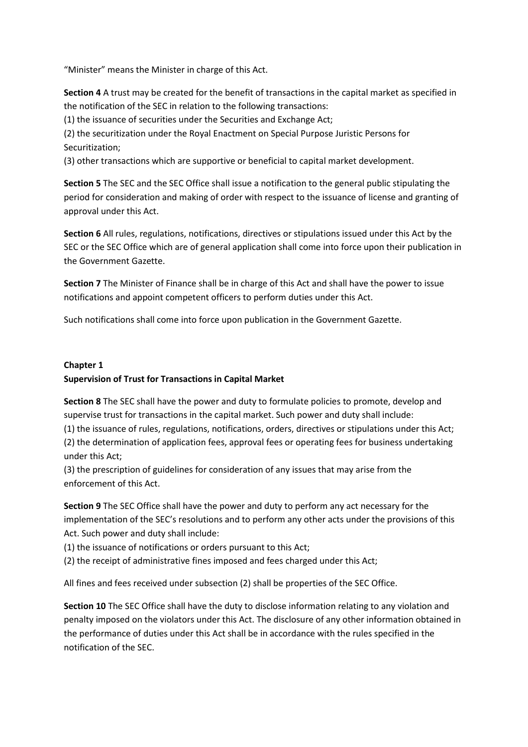"Minister" means the Minister in charge of this Act.

**Section 4** A trust may be created for the benefit of transactions in the capital market as specified in the notification of the SEC in relation to the following transactions:

(1) the issuance of securities under the Securities and Exchange Act;

(2) the securitization under the Royal Enactment on Special Purpose Juristic Persons for Securitization;

(3) other transactions which are supportive or beneficial to capital market development.

**Section 5** The SEC and the SEC Office shall issue a notification to the general public stipulating the period for consideration and making of order with respect to the issuance of license and granting of approval under this Act.

**Section 6** All rules, regulations, notifications, directives or stipulations issued under this Act by the SEC or the SEC Office which are of general application shall come into force upon their publication in the Government Gazette.

**Section 7** The Minister of Finance shall be in charge of this Act and shall have the power to issue notifications and appoint competent officers to perform duties under this Act.

Such notifications shall come into force upon publication in the Government Gazette.

# **Chapter 1 Supervision of Trust for Transactions in Capital Market**

**Section 8** The SEC shall have the power and duty to formulate policies to promote, develop and supervise trust for transactions in the capital market. Such power and duty shall include:

(1) the issuance of rules, regulations, notifications, orders, directives or stipulations under this Act; (2) the determination of application fees, approval fees or operating fees for business undertaking under this Act;

(3) the prescription of guidelines for consideration of any issues that may arise from the enforcement of this Act.

**Section 9** The SEC Office shall have the power and duty to perform any act necessary for the implementation of the SEC's resolutions and to perform any other acts under the provisions of this Act. Such power and duty shall include:

(1) the issuance of notifications or orders pursuant to this Act;

(2) the receipt of administrative fines imposed and fees charged under this Act;

All fines and fees received under subsection (2) shall be properties of the SEC Office.

**Section 10** The SEC Office shall have the duty to disclose information relating to any violation and penalty imposed on the violators under this Act. The disclosure of any other information obtained in the performance of duties under this Act shall be in accordance with the rules specified in the notification of the SEC.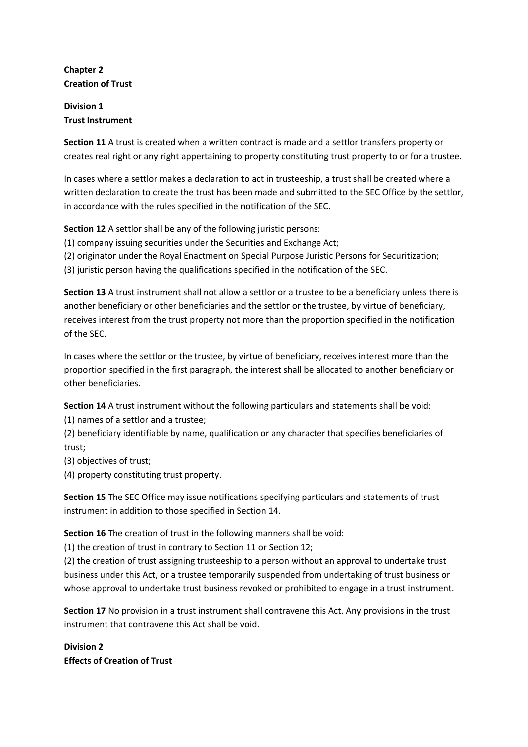## **Chapter 2 Creation of Trust**

## **Division 1 Trust Instrument**

**Section 11** A trust is created when a written contract is made and a settlor transfers property or creates real right or any right appertaining to property constituting trust property to or for a trustee.

In cases where a settlor makes a declaration to act in trusteeship, a trust shall be created where a written declaration to create the trust has been made and submitted to the SEC Office by the settlor, in accordance with the rules specified in the notification of the SEC.

**Section 12** A settlor shall be any of the following juristic persons:

(1) company issuing securities under the Securities and Exchange Act;

(2) originator under the Royal Enactment on Special Purpose Juristic Persons for Securitization;

(3) juristic person having the qualifications specified in the notification of the SEC.

**Section 13** A trust instrument shall not allow a settlor or a trustee to be a beneficiary unless there is another beneficiary or other beneficiaries and the settlor or the trustee, by virtue of beneficiary, receives interest from the trust property not more than the proportion specified in the notification of the SEC.

In cases where the settlor or the trustee, by virtue of beneficiary, receives interest more than the proportion specified in the first paragraph, the interest shall be allocated to another beneficiary or other beneficiaries.

**Section 14** A trust instrument without the following particulars and statements shall be void:

(1) names of a settlor and a trustee;

(2) beneficiary identifiable by name, qualification or any character that specifies beneficiaries of trust;

(3) objectives of trust;

(4) property constituting trust property.

**Section 15** The SEC Office may issue notifications specifying particulars and statements of trust instrument in addition to those specified in Section 14.

**Section 16** The creation of trust in the following manners shall be void:

(1) the creation of trust in contrary to Section 11 or Section 12;

(2) the creation of trust assigning trusteeship to a person without an approval to undertake trust business under this Act, or a trustee temporarily suspended from undertaking of trust business or whose approval to undertake trust business revoked or prohibited to engage in a trust instrument.

**Section 17** No provision in a trust instrument shall contravene this Act. Any provisions in the trust instrument that contravene this Act shall be void.

**Division 2 Effects of Creation of Trust**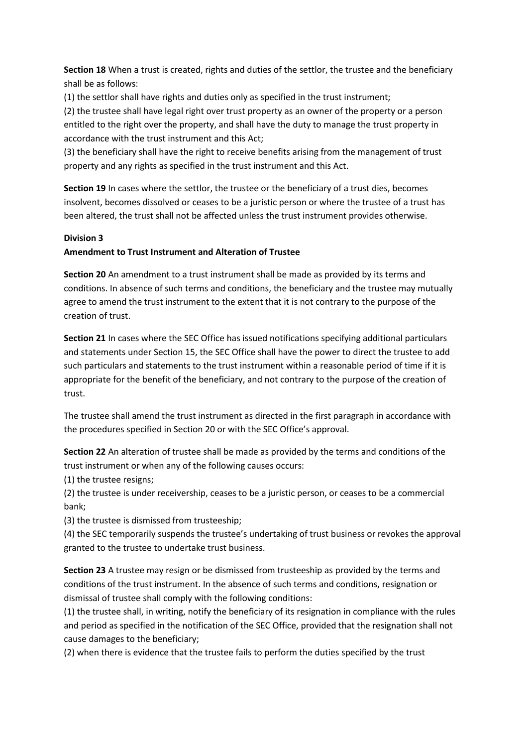**Section 18** When a trust is created, rights and duties of the settlor, the trustee and the beneficiary shall be as follows:

(1) the settlor shall have rights and duties only as specified in the trust instrument;

(2) the trustee shall have legal right over trust property as an owner of the property or a person entitled to the right over the property, and shall have the duty to manage the trust property in accordance with the trust instrument and this Act;

(3) the beneficiary shall have the right to receive benefits arising from the management of trust property and any rights as specified in the trust instrument and this Act.

**Section 19** In cases where the settlor, the trustee or the beneficiary of a trust dies, becomes insolvent, becomes dissolved or ceases to be a juristic person or where the trustee of a trust has been altered, the trust shall not be affected unless the trust instrument provides otherwise.

#### **Division 3**

#### **Amendment to Trust Instrument and Alteration of Trustee**

**Section 20** An amendment to a trust instrument shall be made as provided by its terms and conditions. In absence of such terms and conditions, the beneficiary and the trustee may mutually agree to amend the trust instrument to the extent that it is not contrary to the purpose of the creation of trust.

**Section 21** In cases where the SEC Office has issued notifications specifying additional particulars and statements under Section 15, the SEC Office shall have the power to direct the trustee to add such particulars and statements to the trust instrument within a reasonable period of time if it is appropriate for the benefit of the beneficiary, and not contrary to the purpose of the creation of trust.

The trustee shall amend the trust instrument as directed in the first paragraph in accordance with the procedures specified in Section 20 or with the SEC Office's approval.

**Section 22** An alteration of trustee shall be made as provided by the terms and conditions of the trust instrument or when any of the following causes occurs:

(1) the trustee resigns;

(2) the trustee is under receivership, ceases to be a juristic person, or ceases to be a commercial bank;

(3) the trustee is dismissed from trusteeship;

(4) the SEC temporarily suspends the trustee's undertaking of trust business or revokes the approval granted to the trustee to undertake trust business.

**Section 23** A trustee may resign or be dismissed from trusteeship as provided by the terms and conditions of the trust instrument. In the absence of such terms and conditions, resignation or dismissal of trustee shall comply with the following conditions:

(1) the trustee shall, in writing, notify the beneficiary of its resignation in compliance with the rules and period as specified in the notification of the SEC Office, provided that the resignation shall not cause damages to the beneficiary;

(2) when there is evidence that the trustee fails to perform the duties specified by the trust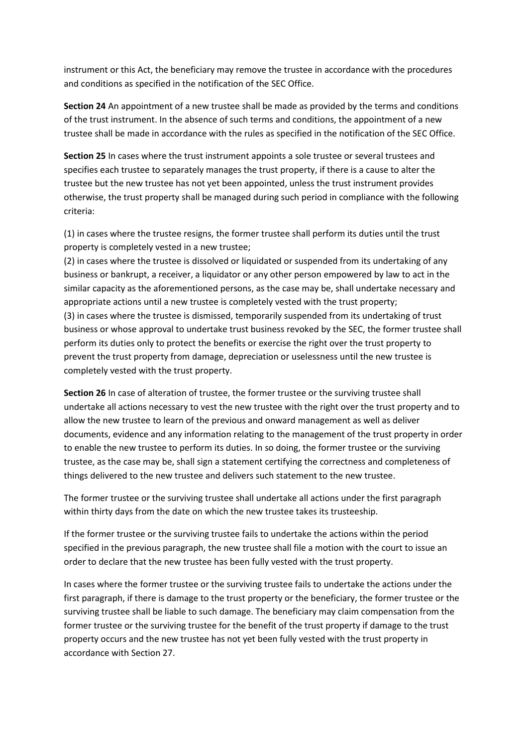instrument or this Act, the beneficiary may remove the trustee in accordance with the procedures and conditions as specified in the notification of the SEC Office.

**Section 24** An appointment of a new trustee shall be made as provided by the terms and conditions of the trust instrument. In the absence of such terms and conditions, the appointment of a new trustee shall be made in accordance with the rules as specified in the notification of the SEC Office.

**Section 25** In cases where the trust instrument appoints a sole trustee or several trustees and specifies each trustee to separately manages the trust property, if there is a cause to alter the trustee but the new trustee has not yet been appointed, unless the trust instrument provides otherwise, the trust property shall be managed during such period in compliance with the following criteria:

(1) in cases where the trustee resigns, the former trustee shall perform its duties until the trust property is completely vested in a new trustee;

(2) in cases where the trustee is dissolved or liquidated or suspended from its undertaking of any business or bankrupt, a receiver, a liquidator or any other person empowered by law to act in the similar capacity as the aforementioned persons, as the case may be, shall undertake necessary and appropriate actions until a new trustee is completely vested with the trust property; (3) in cases where the trustee is dismissed, temporarily suspended from its undertaking of trust business or whose approval to undertake trust business revoked by the SEC, the former trustee shall perform its duties only to protect the benefits or exercise the right over the trust property to prevent the trust property from damage, depreciation or uselessness until the new trustee is completely vested with the trust property.

**Section 26** In case of alteration of trustee, the former trustee or the surviving trustee shall undertake all actions necessary to vest the new trustee with the right over the trust property and to allow the new trustee to learn of the previous and onward management as well as deliver documents, evidence and any information relating to the management of the trust property in order to enable the new trustee to perform its duties. In so doing, the former trustee or the surviving trustee, as the case may be, shall sign a statement certifying the correctness and completeness of things delivered to the new trustee and delivers such statement to the new trustee.

The former trustee or the surviving trustee shall undertake all actions under the first paragraph within thirty days from the date on which the new trustee takes its trusteeship.

If the former trustee or the surviving trustee fails to undertake the actions within the period specified in the previous paragraph, the new trustee shall file a motion with the court to issue an order to declare that the new trustee has been fully vested with the trust property.

In cases where the former trustee or the surviving trustee fails to undertake the actions under the first paragraph, if there is damage to the trust property or the beneficiary, the former trustee or the surviving trustee shall be liable to such damage. The beneficiary may claim compensation from the former trustee or the surviving trustee for the benefit of the trust property if damage to the trust property occurs and the new trustee has not yet been fully vested with the trust property in accordance with Section 27.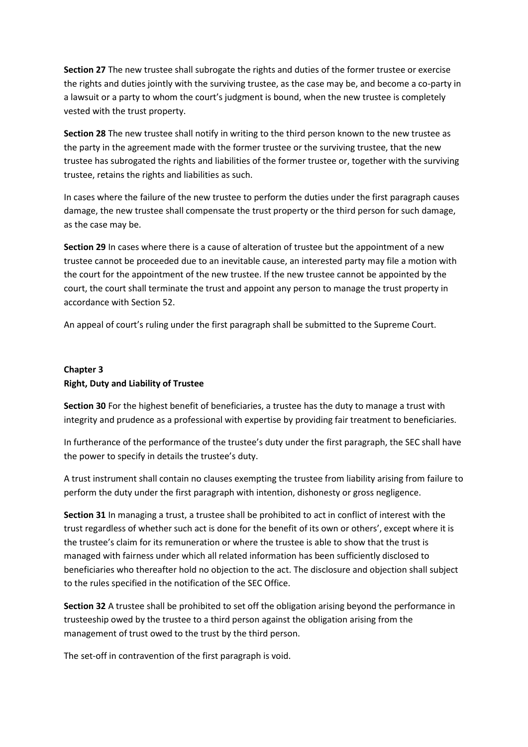**Section 27** The new trustee shall subrogate the rights and duties of the former trustee or exercise the rights and duties jointly with the surviving trustee, as the case may be, and become a co-party in a lawsuit or a party to whom the court's judgment is bound, when the new trustee is completely vested with the trust property.

**Section 28** The new trustee shall notify in writing to the third person known to the new trustee as the party in the agreement made with the former trustee or the surviving trustee, that the new trustee has subrogated the rights and liabilities of the former trustee or, together with the surviving trustee, retains the rights and liabilities as such.

In cases where the failure of the new trustee to perform the duties under the first paragraph causes damage, the new trustee shall compensate the trust property or the third person for such damage, as the case may be.

**Section 29** In cases where there is a cause of alteration of trustee but the appointment of a new trustee cannot be proceeded due to an inevitable cause, an interested party may file a motion with the court for the appointment of the new trustee. If the new trustee cannot be appointed by the court, the court shall terminate the trust and appoint any person to manage the trust property in accordance with Section 52.

An appeal of court's ruling under the first paragraph shall be submitted to the Supreme Court.

# **Chapter 3 Right, Duty and Liability of Trustee**

**Section 30** For the highest benefit of beneficiaries, a trustee has the duty to manage a trust with integrity and prudence as a professional with expertise by providing fair treatment to beneficiaries.

In furtherance of the performance of the trustee's duty under the first paragraph, the SEC shall have the power to specify in details the trustee's duty.

A trust instrument shall contain no clauses exempting the trustee from liability arising from failure to perform the duty under the first paragraph with intention, dishonesty or gross negligence.

**Section 31** In managing a trust, a trustee shall be prohibited to act in conflict of interest with the trust regardless of whether such act is done for the benefit of its own or others', except where it is the trustee's claim for its remuneration or where the trustee is able to show that the trust is managed with fairness under which all related information has been sufficiently disclosed to beneficiaries who thereafter hold no objection to the act. The disclosure and objection shall subject to the rules specified in the notification of the SEC Office.

**Section 32** A trustee shall be prohibited to set off the obligation arising beyond the performance in trusteeship owed by the trustee to a third person against the obligation arising from the management of trust owed to the trust by the third person.

The set-off in contravention of the first paragraph is void.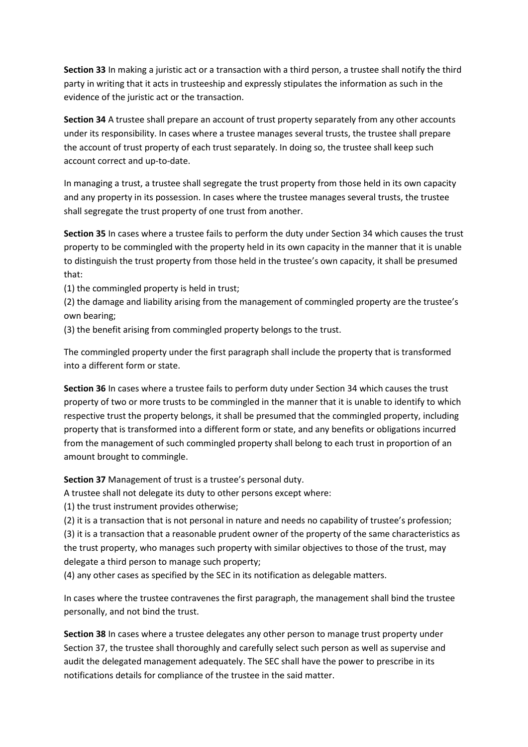**Section 33** In making a juristic act or a transaction with a third person, a trustee shall notify the third party in writing that it acts in trusteeship and expressly stipulates the information as such in the evidence of the juristic act or the transaction.

**Section 34** A trustee shall prepare an account of trust property separately from any other accounts under its responsibility. In cases where a trustee manages several trusts, the trustee shall prepare the account of trust property of each trust separately. In doing so, the trustee shall keep such account correct and up-to-date.

In managing a trust, a trustee shall segregate the trust property from those held in its own capacity and any property in its possession. In cases where the trustee manages several trusts, the trustee shall segregate the trust property of one trust from another.

**Section 35** In cases where a trustee fails to perform the duty under Section 34 which causes the trust property to be commingled with the property held in its own capacity in the manner that it is unable to distinguish the trust property from those held in the trustee's own capacity, it shall be presumed that:

(1) the commingled property is held in trust;

(2) the damage and liability arising from the management of commingled property are the trustee's own bearing;

(3) the benefit arising from commingled property belongs to the trust.

The commingled property under the first paragraph shall include the property that is transformed into a different form or state.

**Section 36** In cases where a trustee fails to perform duty under Section 34 which causes the trust property of two or more trusts to be commingled in the manner that it is unable to identify to which respective trust the property belongs, it shall be presumed that the commingled property, including property that is transformed into a different form or state, and any benefits or obligations incurred from the management of such commingled property shall belong to each trust in proportion of an amount brought to commingle.

**Section 37** Management of trust is a trustee's personal duty.

A trustee shall not delegate its duty to other persons except where:

(1) the trust instrument provides otherwise;

(2) it is a transaction that is not personal in nature and needs no capability of trustee's profession;

(3) it is a transaction that a reasonable prudent owner of the property of the same characteristics as the trust property, who manages such property with similar objectives to those of the trust, may delegate a third person to manage such property;

(4) any other cases as specified by the SEC in its notification as delegable matters.

In cases where the trustee contravenes the first paragraph, the management shall bind the trustee personally, and not bind the trust.

**Section 38** In cases where a trustee delegates any other person to manage trust property under Section 37, the trustee shall thoroughly and carefully select such person as well as supervise and audit the delegated management adequately. The SEC shall have the power to prescribe in its notifications details for compliance of the trustee in the said matter.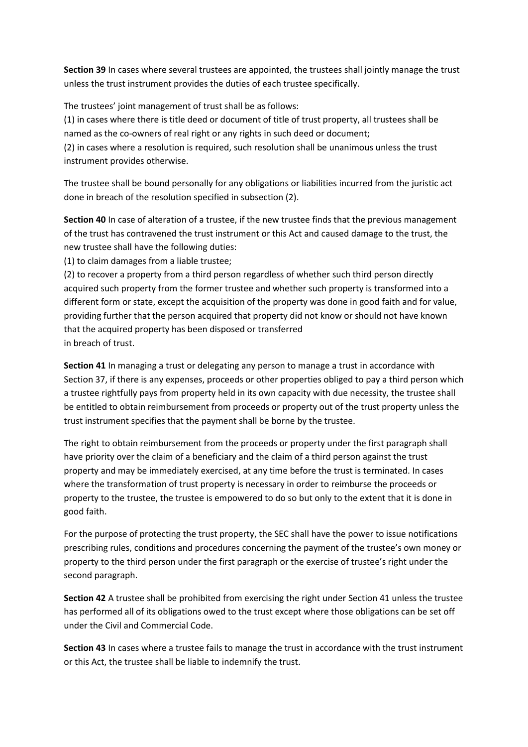**Section 39** In cases where several trustees are appointed, the trustees shall jointly manage the trust unless the trust instrument provides the duties of each trustee specifically.

The trustees' joint management of trust shall be as follows:

(1) in cases where there is title deed or document of title of trust property, all trustees shall be named as the co-owners of real right or any rights in such deed or document;

(2) in cases where a resolution is required, such resolution shall be unanimous unless the trust instrument provides otherwise.

The trustee shall be bound personally for any obligations or liabilities incurred from the juristic act done in breach of the resolution specified in subsection (2).

**Section 40** In case of alteration of a trustee, if the new trustee finds that the previous management of the trust has contravened the trust instrument or this Act and caused damage to the trust, the new trustee shall have the following duties:

(1) to claim damages from a liable trustee;

(2) to recover a property from a third person regardless of whether such third person directly acquired such property from the former trustee and whether such property is transformed into a different form or state, except the acquisition of the property was done in good faith and for value, providing further that the person acquired that property did not know or should not have known that the acquired property has been disposed or transferred in breach of trust.

**Section 41** In managing a trust or delegating any person to manage a trust in accordance with Section 37, if there is any expenses, proceeds or other properties obliged to pay a third person which a trustee rightfully pays from property held in its own capacity with due necessity, the trustee shall be entitled to obtain reimbursement from proceeds or property out of the trust property unless the trust instrument specifies that the payment shall be borne by the trustee.

The right to obtain reimbursement from the proceeds or property under the first paragraph shall have priority over the claim of a beneficiary and the claim of a third person against the trust property and may be immediately exercised, at any time before the trust is terminated. In cases where the transformation of trust property is necessary in order to reimburse the proceeds or property to the trustee, the trustee is empowered to do so but only to the extent that it is done in good faith.

For the purpose of protecting the trust property, the SEC shall have the power to issue notifications prescribing rules, conditions and procedures concerning the payment of the trustee's own money or property to the third person under the first paragraph or the exercise of trustee's right under the second paragraph.

**Section 42** A trustee shall be prohibited from exercising the right under Section 41 unless the trustee has performed all of its obligations owed to the trust except where those obligations can be set off under the Civil and Commercial Code.

**Section 43** In cases where a trustee fails to manage the trust in accordance with the trust instrument or this Act, the trustee shall be liable to indemnify the trust.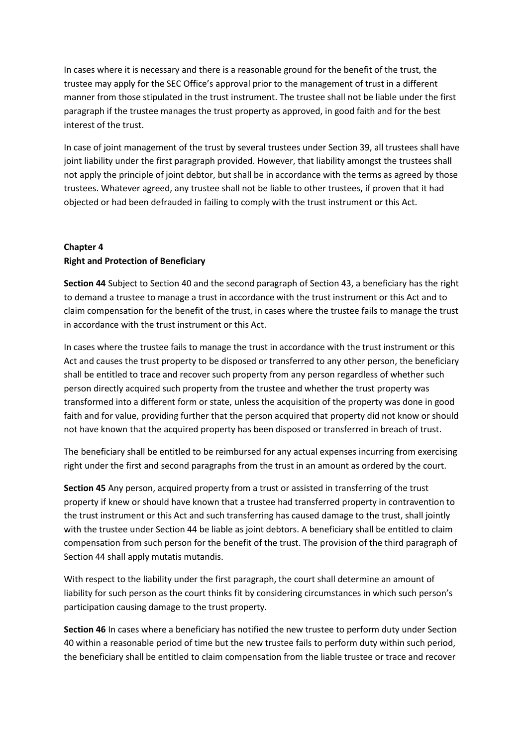In cases where it is necessary and there is a reasonable ground for the benefit of the trust, the trustee may apply for the SEC Office's approval prior to the management of trust in a different manner from those stipulated in the trust instrument. The trustee shall not be liable under the first paragraph if the trustee manages the trust property as approved, in good faith and for the best interest of the trust.

In case of joint management of the trust by several trustees under Section 39, all trustees shall have joint liability under the first paragraph provided. However, that liability amongst the trustees shall not apply the principle of joint debtor, but shall be in accordance with the terms as agreed by those trustees. Whatever agreed, any trustee shall not be liable to other trustees, if proven that it had objected or had been defrauded in failing to comply with the trust instrument or this Act.

# **Chapter 4 Right and Protection of Beneficiary**

**Section 44** Subject to Section 40 and the second paragraph of Section 43, a beneficiary has the right to demand a trustee to manage a trust in accordance with the trust instrument or this Act and to claim compensation for the benefit of the trust, in cases where the trustee fails to manage the trust in accordance with the trust instrument or this Act.

In cases where the trustee fails to manage the trust in accordance with the trust instrument or this Act and causes the trust property to be disposed or transferred to any other person, the beneficiary shall be entitled to trace and recover such property from any person regardless of whether such person directly acquired such property from the trustee and whether the trust property was transformed into a different form or state, unless the acquisition of the property was done in good faith and for value, providing further that the person acquired that property did not know or should not have known that the acquired property has been disposed or transferred in breach of trust.

The beneficiary shall be entitled to be reimbursed for any actual expenses incurring from exercising right under the first and second paragraphs from the trust in an amount as ordered by the court.

**Section 45** Any person, acquired property from a trust or assisted in transferring of the trust property if knew or should have known that a trustee had transferred property in contravention to the trust instrument or this Act and such transferring has caused damage to the trust, shall jointly with the trustee under Section 44 be liable as joint debtors. A beneficiary shall be entitled to claim compensation from such person for the benefit of the trust. The provision of the third paragraph of Section 44 shall apply mutatis mutandis.

With respect to the liability under the first paragraph, the court shall determine an amount of liability for such person as the court thinks fit by considering circumstances in which such person's participation causing damage to the trust property.

**Section 46** In cases where a beneficiary has notified the new trustee to perform duty under Section 40 within a reasonable period of time but the new trustee fails to perform duty within such period, the beneficiary shall be entitled to claim compensation from the liable trustee or trace and recover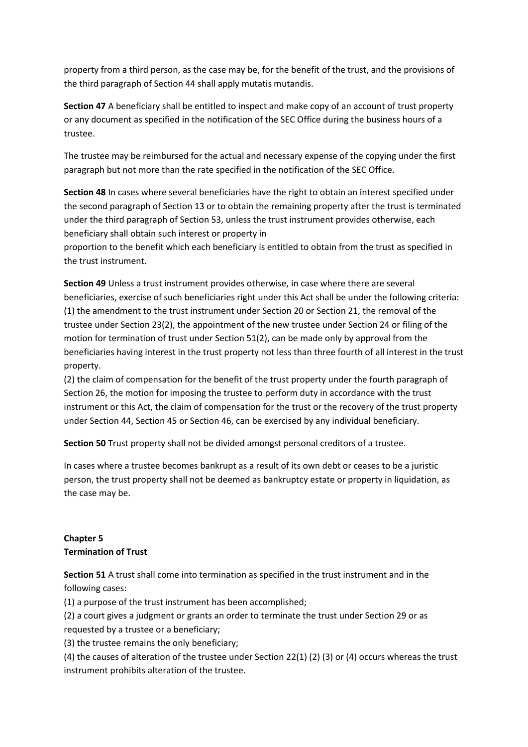property from a third person, as the case may be, for the benefit of the trust, and the provisions of the third paragraph of Section 44 shall apply mutatis mutandis.

**Section 47** A beneficiary shall be entitled to inspect and make copy of an account of trust property or any document as specified in the notification of the SEC Office during the business hours of a trustee.

The trustee may be reimbursed for the actual and necessary expense of the copying under the first paragraph but not more than the rate specified in the notification of the SEC Office.

**Section 48** In cases where several beneficiaries have the right to obtain an interest specified under the second paragraph of Section 13 or to obtain the remaining property after the trust is terminated under the third paragraph of Section 53, unless the trust instrument provides otherwise, each beneficiary shall obtain such interest or property in

proportion to the benefit which each beneficiary is entitled to obtain from the trust as specified in the trust instrument.

**Section 49** Unless a trust instrument provides otherwise, in case where there are several beneficiaries, exercise of such beneficiaries right under this Act shall be under the following criteria: (1) the amendment to the trust instrument under Section 20 or Section 21, the removal of the trustee under Section 23(2), the appointment of the new trustee under Section 24 or filing of the motion for termination of trust under Section 51(2), can be made only by approval from the beneficiaries having interest in the trust property not less than three fourth of all interest in the trust property.

(2) the claim of compensation for the benefit of the trust property under the fourth paragraph of Section 26, the motion for imposing the trustee to perform duty in accordance with the trust instrument or this Act, the claim of compensation for the trust or the recovery of the trust property under Section 44, Section 45 or Section 46, can be exercised by any individual beneficiary.

**Section 50** Trust property shall not be divided amongst personal creditors of a trustee.

In cases where a trustee becomes bankrupt as a result of its own debt or ceases to be a juristic person, the trust property shall not be deemed as bankruptcy estate or property in liquidation, as the case may be.

# **Chapter 5 Termination of Trust**

**Section 51** A trust shall come into termination as specified in the trust instrument and in the following cases:

(1) a purpose of the trust instrument has been accomplished;

(2) a court gives a judgment or grants an order to terminate the trust under Section 29 or as requested by a trustee or a beneficiary;

(3) the trustee remains the only beneficiary;

(4) the causes of alteration of the trustee under Section 22(1) (2) (3) or (4) occurs whereas the trust instrument prohibits alteration of the trustee.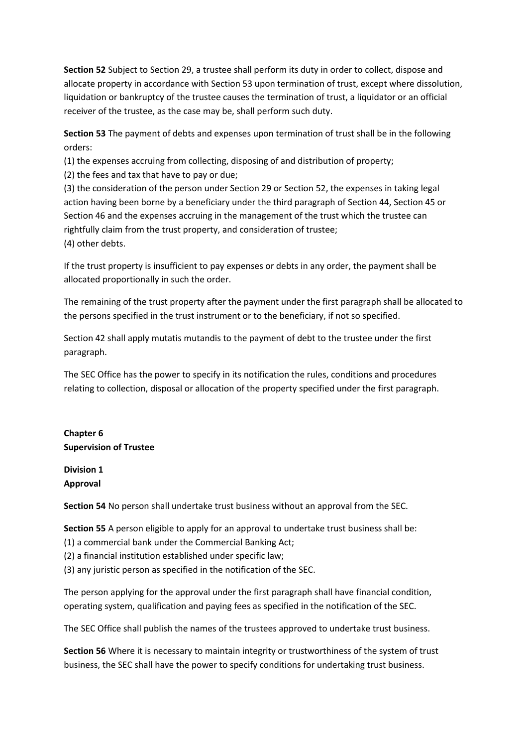**Section 52** Subject to Section 29, a trustee shall perform its duty in order to collect, dispose and allocate property in accordance with Section 53 upon termination of trust, except where dissolution, liquidation or bankruptcy of the trustee causes the termination of trust, a liquidator or an official receiver of the trustee, as the case may be, shall perform such duty.

**Section 53** The payment of debts and expenses upon termination of trust shall be in the following orders:

(1) the expenses accruing from collecting, disposing of and distribution of property;

(2) the fees and tax that have to pay or due;

(3) the consideration of the person under Section 29 or Section 52, the expenses in taking legal action having been borne by a beneficiary under the third paragraph of Section 44, Section 45 or Section 46 and the expenses accruing in the management of the trust which the trustee can rightfully claim from the trust property, and consideration of trustee; (4) other debts.

If the trust property is insufficient to pay expenses or debts in any order, the payment shall be allocated proportionally in such the order.

The remaining of the trust property after the payment under the first paragraph shall be allocated to the persons specified in the trust instrument or to the beneficiary, if not so specified.

Section 42 shall apply mutatis mutandis to the payment of debt to the trustee under the first paragraph.

The SEC Office has the power to specify in its notification the rules, conditions and procedures relating to collection, disposal or allocation of the property specified under the first paragraph.

**Chapter 6 Supervision of Trustee**

**Division 1 Approval**

**Section 54** No person shall undertake trust business without an approval from the SEC.

**Section 55** A person eligible to apply for an approval to undertake trust business shall be:

(1) a commercial bank under the Commercial Banking Act;

(2) a financial institution established under specific law;

(3) any juristic person as specified in the notification of the SEC.

The person applying for the approval under the first paragraph shall have financial condition, operating system, qualification and paying fees as specified in the notification of the SEC.

The SEC Office shall publish the names of the trustees approved to undertake trust business.

**Section 56** Where it is necessary to maintain integrity or trustworthiness of the system of trust business, the SEC shall have the power to specify conditions for undertaking trust business.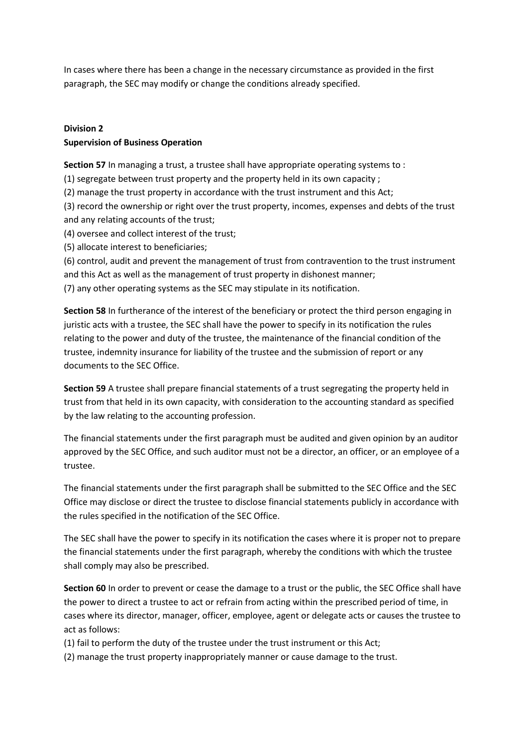In cases where there has been a change in the necessary circumstance as provided in the first paragraph, the SEC may modify or change the conditions already specified.

# **Division 2 Supervision of Business Operation**

**Section 57** In managing a trust, a trustee shall have appropriate operating systems to :

(1) segregate between trust property and the property held in its own capacity ;

(2) manage the trust property in accordance with the trust instrument and this Act;

(3) record the ownership or right over the trust property, incomes, expenses and debts of the trust and any relating accounts of the trust;

(4) oversee and collect interest of the trust;

(5) allocate interest to beneficiaries;

(6) control, audit and prevent the management of trust from contravention to the trust instrument and this Act as well as the management of trust property in dishonest manner; (7) any other operating systems as the SEC may stipulate in its notification.

**Section 58** In furtherance of the interest of the beneficiary or protect the third person engaging in juristic acts with a trustee, the SEC shall have the power to specify in its notification the rules relating to the power and duty of the trustee, the maintenance of the financial condition of the trustee, indemnity insurance for liability of the trustee and the submission of report or any documents to the SEC Office.

**Section 59** A trustee shall prepare financial statements of a trust segregating the property held in trust from that held in its own capacity, with consideration to the accounting standard as specified by the law relating to the accounting profession.

The financial statements under the first paragraph must be audited and given opinion by an auditor approved by the SEC Office, and such auditor must not be a director, an officer, or an employee of a trustee.

The financial statements under the first paragraph shall be submitted to the SEC Office and the SEC Office may disclose or direct the trustee to disclose financial statements publicly in accordance with the rules specified in the notification of the SEC Office.

The SEC shall have the power to specify in its notification the cases where it is proper not to prepare the financial statements under the first paragraph, whereby the conditions with which the trustee shall comply may also be prescribed.

**Section 60** In order to prevent or cease the damage to a trust or the public, the SEC Office shall have the power to direct a trustee to act or refrain from acting within the prescribed period of time, in cases where its director, manager, officer, employee, agent or delegate acts or causes the trustee to act as follows:

(1) fail to perform the duty of the trustee under the trust instrument or this Act;

(2) manage the trust property inappropriately manner or cause damage to the trust.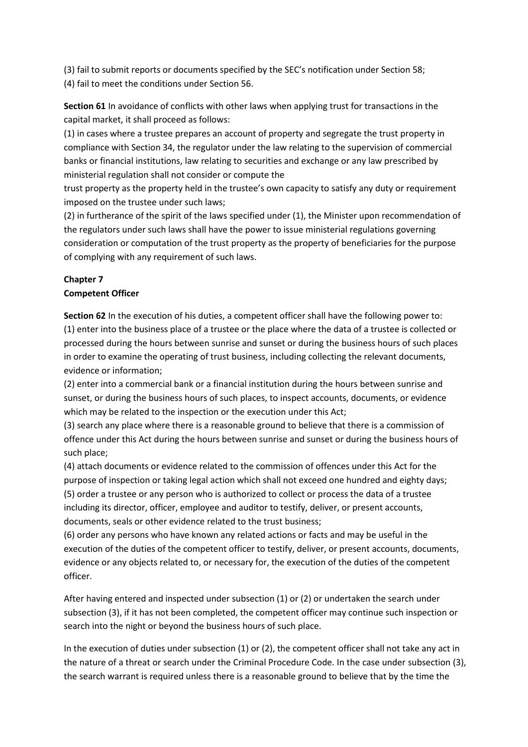(3) fail to submit reports or documents specified by the SEC's notification under Section 58; (4) fail to meet the conditions under Section 56.

**Section 61** In avoidance of conflicts with other laws when applying trust for transactions in the capital market, it shall proceed as follows:

(1) in cases where a trustee prepares an account of property and segregate the trust property in compliance with Section 34, the regulator under the law relating to the supervision of commercial banks or financial institutions, law relating to securities and exchange or any law prescribed by ministerial regulation shall not consider or compute the

trust property as the property held in the trustee's own capacity to satisfy any duty or requirement imposed on the trustee under such laws;

(2) in furtherance of the spirit of the laws specified under (1), the Minister upon recommendation of the regulators under such laws shall have the power to issue ministerial regulations governing consideration or computation of the trust property as the property of beneficiaries for the purpose of complying with any requirement of such laws.

# **Chapter 7**

### **Competent Officer**

**Section 62** In the execution of his duties, a competent officer shall have the following power to: (1) enter into the business place of a trustee or the place where the data of a trustee is collected or processed during the hours between sunrise and sunset or during the business hours of such places in order to examine the operating of trust business, including collecting the relevant documents, evidence or information;

(2) enter into a commercial bank or a financial institution during the hours between sunrise and sunset, or during the business hours of such places, to inspect accounts, documents, or evidence which may be related to the inspection or the execution under this Act;

(3) search any place where there is a reasonable ground to believe that there is a commission of offence under this Act during the hours between sunrise and sunset or during the business hours of such place;

(4) attach documents or evidence related to the commission of offences under this Act for the purpose of inspection or taking legal action which shall not exceed one hundred and eighty days; (5) order a trustee or any person who is authorized to collect or process the data of a trustee including its director, officer, employee and auditor to testify, deliver, or present accounts, documents, seals or other evidence related to the trust business;

(6) order any persons who have known any related actions or facts and may be useful in the execution of the duties of the competent officer to testify, deliver, or present accounts, documents, evidence or any objects related to, or necessary for, the execution of the duties of the competent officer.

After having entered and inspected under subsection (1) or (2) or undertaken the search under subsection (3), if it has not been completed, the competent officer may continue such inspection or search into the night or beyond the business hours of such place.

In the execution of duties under subsection (1) or (2), the competent officer shall not take any act in the nature of a threat or search under the Criminal Procedure Code. In the case under subsection (3), the search warrant is required unless there is a reasonable ground to believe that by the time the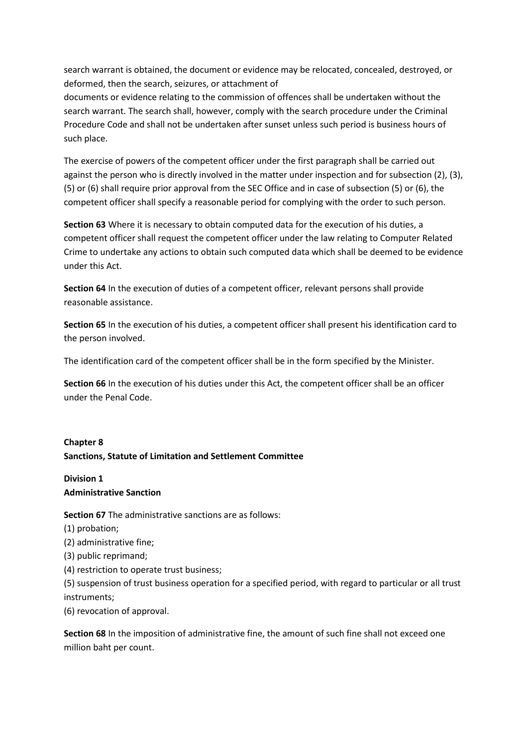search warrant is obtained, the document or evidence may be relocated, concealed, destroyed, or deformed, then the search, seizures, or attachment of

documents or evidence relating to the commission of offences shall be undertaken without the search warrant. The search shall, however, comply with the search procedure under the Criminal Procedure Code and shall not be undertaken after sunset unless such period is business hours of such place.

The exercise of powers of the competent officer under the first paragraph shall be carried out against the person who is directly involved in the matter under inspection and for subsection (2), (3), (5) or (6) shall require prior approval from the SEC Office and in case of subsection (5) or (6), the competent officer shall specify a reasonable period for complying with the order to such person.

**Section 63** Where it is necessary to obtain computed data for the execution of his duties, a competent officer shall request the competent officer under the law relating to Computer Related Crime to undertake any actions to obtain such computed data which shall be deemed to be evidence under this Act.

**Section 64** In the execution of duties of a competent officer, relevant persons shall provide reasonable assistance.

**Section 65** In the execution of his duties, a competent officer shall present his identification card to the person involved.

The identification card of the competent officer shall be in the form specified by the Minister.

**Section 66** In the execution of his duties under this Act, the competent officer shall be an officer under the Penal Code.

# **Chapter 8 Sanctions, Statute of Limitation and Settlement Committee**

**Division 1 Administrative Sanction**

**Section 67** The administrative sanctions are as follows:

(1) probation;

(2) administrative fine;

(3) public reprimand;

(4) restriction to operate trust business;

(5) suspension of trust business operation for a specified period, with regard to particular or all trust instruments;

(6) revocation of approval.

**Section 68** In the imposition of administrative fine, the amount of such fine shall not exceed one million baht per count.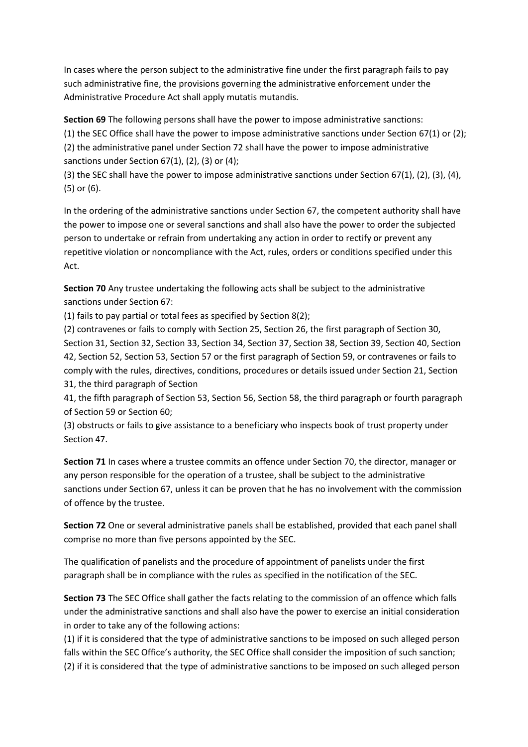In cases where the person subject to the administrative fine under the first paragraph fails to pay such administrative fine, the provisions governing the administrative enforcement under the Administrative Procedure Act shall apply mutatis mutandis.

**Section 69** The following persons shall have the power to impose administrative sanctions: (1) the SEC Office shall have the power to impose administrative sanctions under Section 67(1) or (2); (2) the administrative panel under Section 72 shall have the power to impose administrative sanctions under Section 67(1), (2), (3) or (4);

(3) the SEC shall have the power to impose administrative sanctions under Section 67(1), (2), (3), (4), (5) or (6).

In the ordering of the administrative sanctions under Section 67, the competent authority shall have the power to impose one or several sanctions and shall also have the power to order the subjected person to undertake or refrain from undertaking any action in order to rectify or prevent any repetitive violation or noncompliance with the Act, rules, orders or conditions specified under this Act.

**Section 70** Any trustee undertaking the following acts shall be subject to the administrative sanctions under Section 67:

(1) fails to pay partial or total fees as specified by Section 8(2);

(2) contravenes or fails to comply with Section 25, Section 26, the first paragraph of Section 30, Section 31, Section 32, Section 33, Section 34, Section 37, Section 38, Section 39, Section 40, Section 42, Section 52, Section 53, Section 57 or the first paragraph of Section 59, or contravenes or fails to comply with the rules, directives, conditions, procedures or details issued under Section 21, Section 31, the third paragraph of Section

41, the fifth paragraph of Section 53, Section 56, Section 58, the third paragraph or fourth paragraph of Section 59 or Section 60;

(3) obstructs or fails to give assistance to a beneficiary who inspects book of trust property under Section 47.

**Section 71** In cases where a trustee commits an offence under Section 70, the director, manager or any person responsible for the operation of a trustee, shall be subject to the administrative sanctions under Section 67, unless it can be proven that he has no involvement with the commission of offence by the trustee.

**Section 72** One or several administrative panels shall be established, provided that each panel shall comprise no more than five persons appointed by the SEC.

The qualification of panelists and the procedure of appointment of panelists under the first paragraph shall be in compliance with the rules as specified in the notification of the SEC.

**Section 73** The SEC Office shall gather the facts relating to the commission of an offence which falls under the administrative sanctions and shall also have the power to exercise an initial consideration in order to take any of the following actions:

(1) if it is considered that the type of administrative sanctions to be imposed on such alleged person falls within the SEC Office's authority, the SEC Office shall consider the imposition of such sanction; (2) if it is considered that the type of administrative sanctions to be imposed on such alleged person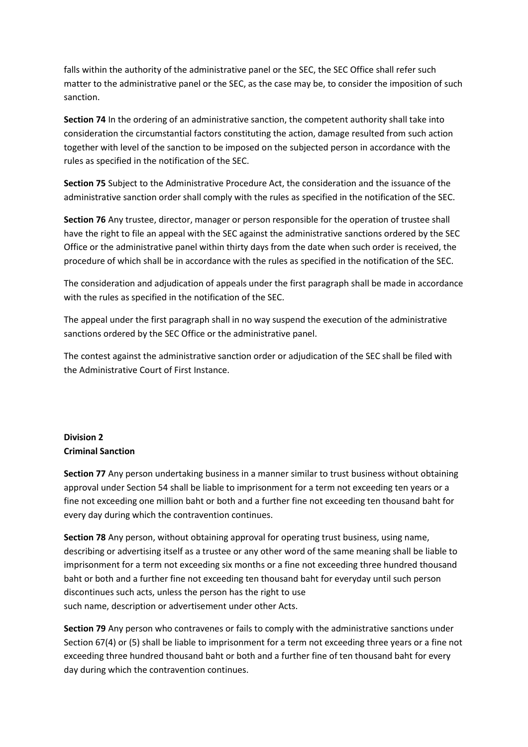falls within the authority of the administrative panel or the SEC, the SEC Office shall refer such matter to the administrative panel or the SEC, as the case may be, to consider the imposition of such sanction.

**Section 74** In the ordering of an administrative sanction, the competent authority shall take into consideration the circumstantial factors constituting the action, damage resulted from such action together with level of the sanction to be imposed on the subjected person in accordance with the rules as specified in the notification of the SEC.

**Section 75** Subject to the Administrative Procedure Act, the consideration and the issuance of the administrative sanction order shall comply with the rules as specified in the notification of the SEC.

**Section 76** Any trustee, director, manager or person responsible for the operation of trustee shall have the right to file an appeal with the SEC against the administrative sanctions ordered by the SEC Office or the administrative panel within thirty days from the date when such order is received, the procedure of which shall be in accordance with the rules as specified in the notification of the SEC.

The consideration and adjudication of appeals under the first paragraph shall be made in accordance with the rules as specified in the notification of the SEC.

The appeal under the first paragraph shall in no way suspend the execution of the administrative sanctions ordered by the SEC Office or the administrative panel.

The contest against the administrative sanction order or adjudication of the SEC shall be filed with the Administrative Court of First Instance.

### **Division 2 Criminal Sanction**

**Section 77** Any person undertaking business in a manner similar to trust business without obtaining approval under Section 54 shall be liable to imprisonment for a term not exceeding ten years or a fine not exceeding one million baht or both and a further fine not exceeding ten thousand baht for every day during which the contravention continues.

**Section 78** Any person, without obtaining approval for operating trust business, using name, describing or advertising itself as a trustee or any other word of the same meaning shall be liable to imprisonment for a term not exceeding six months or a fine not exceeding three hundred thousand baht or both and a further fine not exceeding ten thousand baht for everyday until such person discontinues such acts, unless the person has the right to use such name, description or advertisement under other Acts.

**Section 79** Any person who contravenes or fails to comply with the administrative sanctions under Section 67(4) or (5) shall be liable to imprisonment for a term not exceeding three years or a fine not exceeding three hundred thousand baht or both and a further fine of ten thousand baht for every day during which the contravention continues.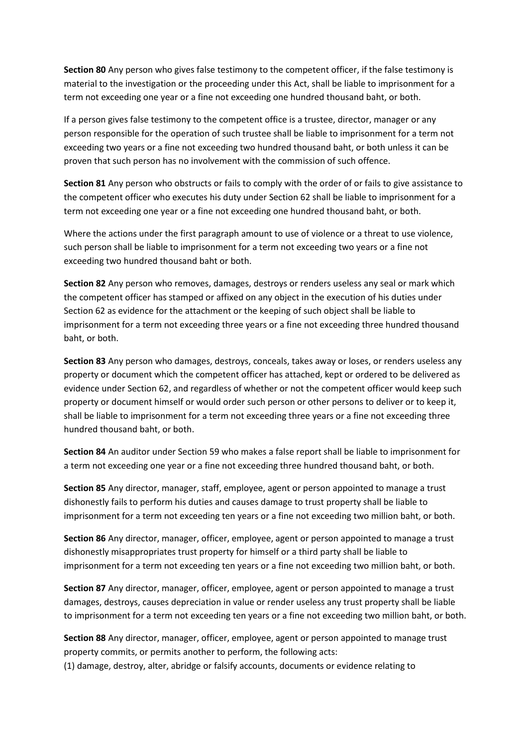**Section 80** Any person who gives false testimony to the competent officer, if the false testimony is material to the investigation or the proceeding under this Act, shall be liable to imprisonment for a term not exceeding one year or a fine not exceeding one hundred thousand baht, or both.

If a person gives false testimony to the competent office is a trustee, director, manager or any person responsible for the operation of such trustee shall be liable to imprisonment for a term not exceeding two years or a fine not exceeding two hundred thousand baht, or both unless it can be proven that such person has no involvement with the commission of such offence.

**Section 81** Any person who obstructs or fails to comply with the order of or fails to give assistance to the competent officer who executes his duty under Section 62 shall be liable to imprisonment for a term not exceeding one year or a fine not exceeding one hundred thousand baht, or both.

Where the actions under the first paragraph amount to use of violence or a threat to use violence, such person shall be liable to imprisonment for a term not exceeding two years or a fine not exceeding two hundred thousand baht or both.

**Section 82** Any person who removes, damages, destroys or renders useless any seal or mark which the competent officer has stamped or affixed on any object in the execution of his duties under Section 62 as evidence for the attachment or the keeping of such object shall be liable to imprisonment for a term not exceeding three years or a fine not exceeding three hundred thousand baht, or both.

**Section 83** Any person who damages, destroys, conceals, takes away or loses, or renders useless any property or document which the competent officer has attached, kept or ordered to be delivered as evidence under Section 62, and regardless of whether or not the competent officer would keep such property or document himself or would order such person or other persons to deliver or to keep it, shall be liable to imprisonment for a term not exceeding three years or a fine not exceeding three hundred thousand baht, or both.

**Section 84** An auditor under Section 59 who makes a false report shall be liable to imprisonment for a term not exceeding one year or a fine not exceeding three hundred thousand baht, or both.

**Section 85** Any director, manager, staff, employee, agent or person appointed to manage a trust dishonestly fails to perform his duties and causes damage to trust property shall be liable to imprisonment for a term not exceeding ten years or a fine not exceeding two million baht, or both.

**Section 86** Any director, manager, officer, employee, agent or person appointed to manage a trust dishonestly misappropriates trust property for himself or a third party shall be liable to imprisonment for a term not exceeding ten years or a fine not exceeding two million baht, or both.

**Section 87** Any director, manager, officer, employee, agent or person appointed to manage a trust damages, destroys, causes depreciation in value or render useless any trust property shall be liable to imprisonment for a term not exceeding ten years or a fine not exceeding two million baht, or both.

**Section 88** Any director, manager, officer, employee, agent or person appointed to manage trust property commits, or permits another to perform, the following acts:

(1) damage, destroy, alter, abridge or falsify accounts, documents or evidence relating to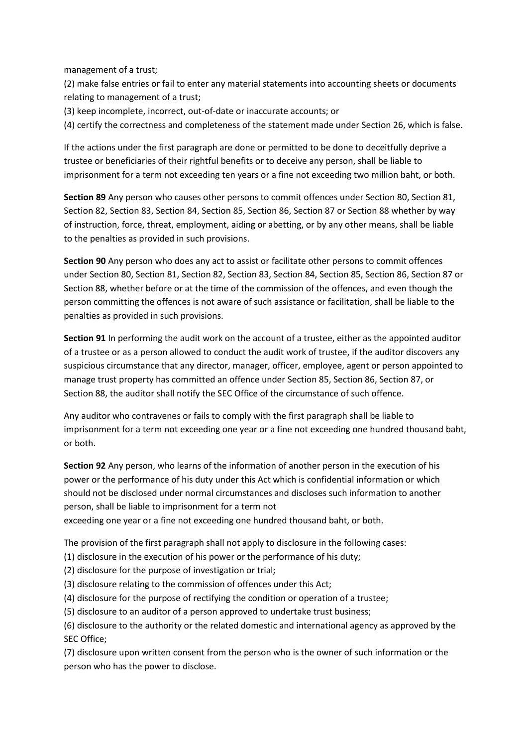management of a trust;

(2) make false entries or fail to enter any material statements into accounting sheets or documents relating to management of a trust;

(3) keep incomplete, incorrect, out-of-date or inaccurate accounts; or

(4) certify the correctness and completeness of the statement made under Section 26, which is false.

If the actions under the first paragraph are done or permitted to be done to deceitfully deprive a trustee or beneficiaries of their rightful benefits or to deceive any person, shall be liable to imprisonment for a term not exceeding ten years or a fine not exceeding two million baht, or both.

**Section 89** Any person who causes other persons to commit offences under Section 80, Section 81, Section 82, Section 83, Section 84, Section 85, Section 86, Section 87 or Section 88 whether by way of instruction, force, threat, employment, aiding or abetting, or by any other means, shall be liable to the penalties as provided in such provisions.

**Section 90** Any person who does any act to assist or facilitate other persons to commit offences under Section 80, Section 81, Section 82, Section 83, Section 84, Section 85, Section 86, Section 87 or Section 88, whether before or at the time of the commission of the offences, and even though the person committing the offences is not aware of such assistance or facilitation, shall be liable to the penalties as provided in such provisions.

**Section 91** In performing the audit work on the account of a trustee, either as the appointed auditor of a trustee or as a person allowed to conduct the audit work of trustee, if the auditor discovers any suspicious circumstance that any director, manager, officer, employee, agent or person appointed to manage trust property has committed an offence under Section 85, Section 86, Section 87, or Section 88, the auditor shall notify the SEC Office of the circumstance of such offence.

Any auditor who contravenes or fails to comply with the first paragraph shall be liable to imprisonment for a term not exceeding one year or a fine not exceeding one hundred thousand baht, or both.

**Section 92** Any person, who learns of the information of another person in the execution of his power or the performance of his duty under this Act which is confidential information or which should not be disclosed under normal circumstances and discloses such information to another person, shall be liable to imprisonment for a term not

exceeding one year or a fine not exceeding one hundred thousand baht, or both.

The provision of the first paragraph shall not apply to disclosure in the following cases:

(1) disclosure in the execution of his power or the performance of his duty;

(2) disclosure for the purpose of investigation or trial;

(3) disclosure relating to the commission of offences under this Act;

(4) disclosure for the purpose of rectifying the condition or operation of a trustee;

(5) disclosure to an auditor of a person approved to undertake trust business;

(6) disclosure to the authority or the related domestic and international agency as approved by the SEC Office;

(7) disclosure upon written consent from the person who is the owner of such information or the person who has the power to disclose.